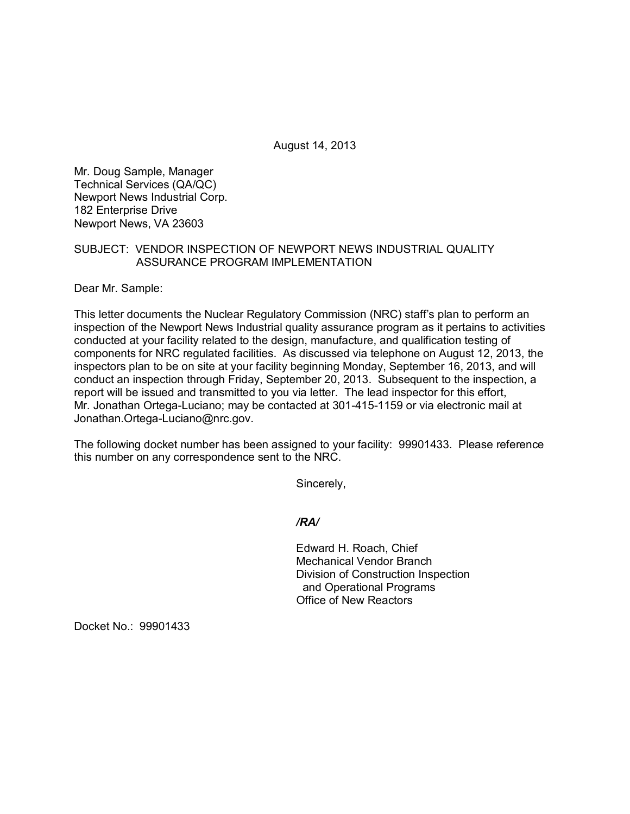August 14, 2013

Mr. Doug Sample, Manager Technical Services (QA/QC) Newport News Industrial Corp. 182 Enterprise Drive Newport News, VA 23603

## SUBJECT: VENDOR INSPECTION OF NEWPORT NEWS INDUSTRIAL QUALITY ASSURANCE PROGRAM IMPLEMENTATION

Dear Mr. Sample:

This letter documents the Nuclear Regulatory Commission (NRC) staff's plan to perform an inspection of the Newport News Industrial quality assurance program as it pertains to activities conducted at your facility related to the design, manufacture, and qualification testing of components for NRC regulated facilities. As discussed via telephone on August 12, 2013, the inspectors plan to be on site at your facility beginning Monday, September 16, 2013, and will conduct an inspection through Friday, September 20, 2013. Subsequent to the inspection, a report will be issued and transmitted to you via letter. The lead inspector for this effort, Mr. Jonathan Ortega-Luciano; may be contacted at 301-415-1159 or via electronic mail at Jonathan.Ortega-Luciano@nrc.gov.

The following docket number has been assigned to your facility: 99901433. Please reference this number on any correspondence sent to the NRC.

Sincerely,

*/RA/*

Edward H. Roach, Chief Mechanical Vendor Branch Division of Construction Inspection and Operational Programs Office of New Reactors

Docket No.: 99901433